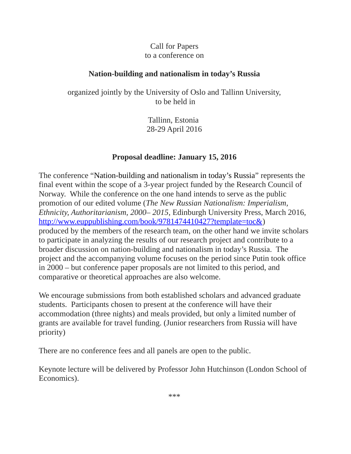## Call for Papers to a conference on

## **Nation-building and nationalism in today's Russia**

organized jointly by the University of Oslo and Tallinn University, to be held in

> Tallinn, Estonia 28-29 April 2016

## **Proposal deadline: January 15, 2016**

The conference "Nation-building and nationalism in today's Russia" represents the final event within the scope of a 3-year project funded by the Research Council of Norway. While the conference on the one hand intends to serve as the public promotion of our edited volume (*The New Russian Nationalism: Imperialism, Ethnicity, Authoritarianism, 2000– 2015*, Edinburgh University Press, March 2016, [http://www.euppublishing.com/book/9781474410427?template=toc&\)](http://www.euppublishing.com/book/9781474410427?template=toc&) produced by the members of the research team, on the other hand we invite scholars to participate in analyzing the results of our research project and contribute to a broader discussion on nation-building and nationalism in today's Russia. The project and the accompanying volume focuses on the period since Putin took office in 2000 – but conference paper proposals are not limited to this period, and comparative or theoretical approaches are also welcome.

We encourage submissions from both established scholars and advanced graduate students. Participants chosen to present at the conference will have their accommodation (three nights) and meals provided, but only a limited number of grants are available for travel funding. (Junior researchers from Russia will have priority)

There are no conference fees and all panels are open to the public.

Keynote lecture will be delivered by Professor John Hutchinson (London School of Economics).